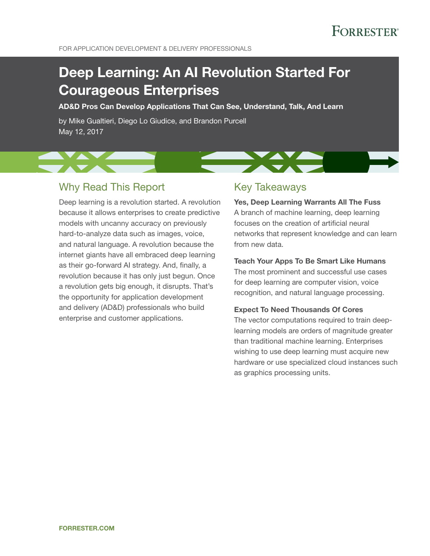# **FORRESTER®**

# Deep Learning: An AI Revolution Started For Courageous Enterprises

AD&D Pros Can Develop Applications That Can See, Understand, Talk, And Learn

by Mike Gualtieri, Diego Lo Giudice, and Brandon Purcell May 12, 2017

## Why Read This Report

Deep learning is a revolution started. A revolution because it allows enterprises to create predictive models with uncanny accuracy on previously hard-to-analyze data such as images, voice, and natural language. A revolution because the internet giants have all embraced deep learning as their go-forward AI strategy. And, finally, a revolution because it has only just begun. Once a revolution gets big enough, it disrupts. That's the opportunity for application development and delivery (AD&D) professionals who build enterprise and customer applications.

## Key Takeaways

Yes, Deep Learning Warrants All The Fuss A branch of machine learning, deep learning focuses on the creation of artificial neural networks that represent knowledge and can learn from new data.

### Teach Your Apps To Be Smart Like Humans

The most prominent and successful use cases for deep learning are computer vision, voice recognition, and natural language processing.

### Expect To Need Thousands Of Cores

The vector computations required to train deeplearning models are orders of magnitude greater than traditional machine learning. Enterprises wishing to use deep learning must acquire new hardware or use specialized cloud instances such as graphics processing units.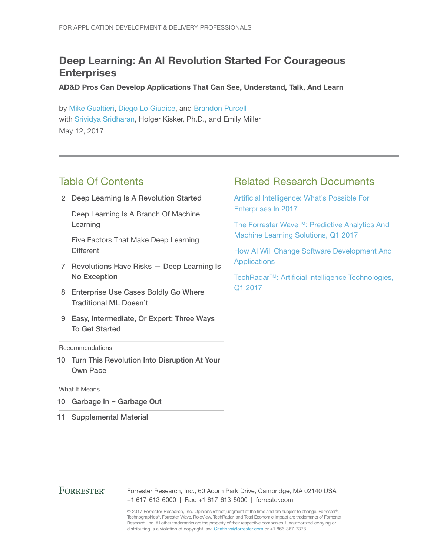## Deep Learning: An AI Revolution Started For Courageous **Enterprises**

AD&D Pros Can Develop Applications That Can See, Understand, Talk, And Learn

by [Mike Gualtieri,](http://www.forrester.com/go?objectid=BIO1858) [Diego Lo Giudice,](http://www.forrester.com/go?objectid=BIO1769) and [Brandon Purcell](http://www.forrester.com/go?objectid=BIO10005) with [Srividya Sridharan,](http://www.forrester.com/go?objectid=BIO2679) Holger Kisker, Ph.D., and Emily Miller May 12, 2017

## Table Of Contents

2 Deep Learning Is A Revolution Started

Deep Learning Is A Branch Of Machine Learning

Five Factors That Make Deep Learning **Different** 

- 7 Revolutions Have Risks Deep Learning Is No Exception
- 8 Enterprise Use Cases Boldly Go Where Traditional ML Doesn't
- 9 Easy, Intermediate, Or Expert: Three Ways To Get Started

#### **Recommendations**

10 Turn This Revolution Into Disruption At Your Own Pace

#### What It Means

- 10 Garbage In = Garbage Out
- 11 Supplemental Material

## Related Research Documents

[Artificial Intelligence: What's Possible For](http://www.forrester.com/go?objectid=RES136288)  [Enterprises In 2017](http://www.forrester.com/go?objectid=RES136288)

[The Forrester Wave™: Predictive Analytics And](http://www.forrester.com/go?objectid=RES129452)  [Machine Learning Solutions, Q1 2017](http://www.forrester.com/go?objectid=RES129452)

[How AI Will Change Software Development And](http://www.forrester.com/go?objectid=RES121339)  [Applications](http://www.forrester.com/go?objectid=RES121339)

[TechRadar™: Artificial Intelligence Technologies,](http://www.forrester.com/go?objectid=RES129161)  [Q1 2017](http://www.forrester.com/go?objectid=RES129161)

#### **FORRESTER®** Forrester Research, Inc., 60 Acorn Park Drive, Cambridge, MA 02140 USA +1 617-613-6000 | Fax: +1 617-613-5000 | forrester.com

© 2017 Forrester Research, Inc. Opinions reflect judgment at the time and are subject to change. Forrester®, Technographics®, Forrester Wave, RoleView, TechRadar, and Total Economic Impact are trademarks of Forrester Research, Inc. All other trademarks are the property of their respective companies. Unauthorized copying or distributing is a violation of copyright law. Citations@forrester.com or +1 866-367-7378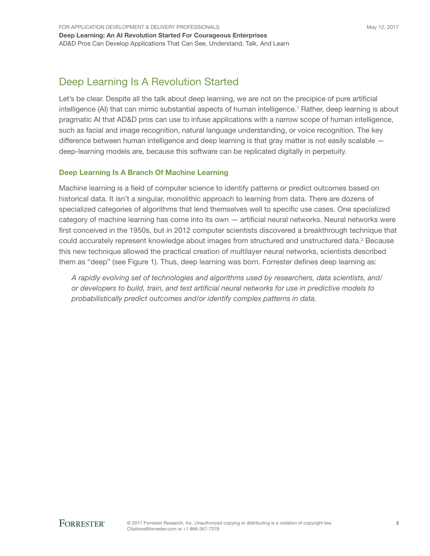## Deep Learning Is A Revolution Started

Let's be clear. Despite all the talk about deep learning, we are not on the precipice of pure artificial intelligence (AI) that can mimic substantial aspects of human intelligence.<sup>1</sup> Rather, deep learning is about pragmatic AI that AD&D pros can use to infuse applications with a narrow scope of human intelligence, such as facial and image recognition, natural language understanding, or voice recognition. The key difference between human intelligence and deep learning is that gray matter is not easily scalable deep-learning models are, because this software can be replicated digitally in perpetuity.

### Deep Learning Is A Branch Of Machine Learning

Machine learning is a field of computer science to identify patterns or predict outcomes based on historical data. It isn't a singular, monolithic approach to learning from data. There are dozens of specialized categories of algorithms that lend themselves well to specific use cases. One specialized category of machine learning has come into its own — artificial neural networks. Neural networks were first conceived in the 1950s, but in 2012 computer scientists discovered a breakthrough technique that could accurately represent knowledge about images from structured and unstructured data.<sup>2</sup> Because this new technique allowed the practical creation of multilayer neural networks, scientists described them as "deep" (see Figure 1). Thus, deep learning was born. Forrester defines deep learning as:

*A rapidly evolving set of technologies and algorithms used by researchers, data scientists, and/ or developers to build, train, and test artificial neural networks for use in predictive models to probabilistically predict outcomes and/or identify complex patterns in data.*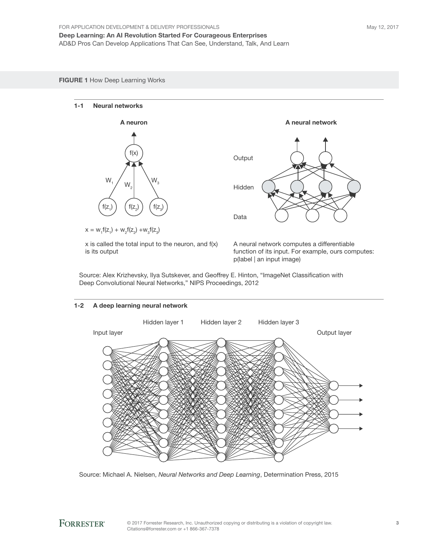#### FIGURE 1 How Deep Learning Works

#### 1-1 Neural networks



 $x = w_1 f(z_1) + w_2 f(z_2) + w_3 f(z_3)$ 

x is called the total input to the neuron, and f(x) is its output

A neural network computes a differentiable function of its input. For example, ours computes: p(label | an input image)

Source: Alex Krizhevsky, Ilya Sutskever, and Geoffrey E. Hinton, "ImageNet Classification with Deep Convolutional Neural Networks," NIPS Proceedings, 2012

**Output** 

Hidden

Data



Source: Michael A. Nielsen, *Neural Networks and Deep Learning*, Determination Press, 2015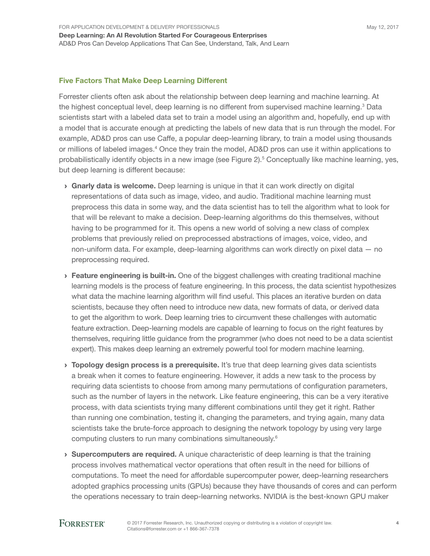#### Five Factors That Make Deep Learning Different

Forrester clients often ask about the relationship between deep learning and machine learning. At the highest conceptual level, deep learning is no different from supervised machine learning.<sup>3</sup> Data scientists start with a labeled data set to train a model using an algorithm and, hopefully, end up with a model that is accurate enough at predicting the labels of new data that is run through the model. For example, AD&D pros can use Caffe, a popular deep-learning library, to train a model using thousands or millions of labeled images.<sup>4</sup> Once they train the model, AD&D pros can use it within applications to probabilistically identify objects in a new image (see Figure 2).<sup>5</sup> Conceptually like machine learning, yes, but deep learning is different because:

- **Gnarly data is welcome.** Deep learning is unique in that it can work directly on digital representations of data such as image, video, and audio. Traditional machine learning must preprocess this data in some way, and the data scientist has to tell the algorithm what to look for that will be relevant to make a decision. Deep-learning algorithms do this themselves, without having to be programmed for it. This opens a new world of solving a new class of complex problems that previously relied on preprocessed abstractions of images, voice, video, and non-uniform data. For example, deep-learning algorithms can work directly on pixel data — no preprocessing required.
- **Eeature engineering is built-in.** One of the biggest challenges with creating traditional machine learning models is the process of feature engineering. In this process, the data scientist hypothesizes what data the machine learning algorithm will find useful. This places an iterative burden on data scientists, because they often need to introduce new data, new formats of data, or derived data to get the algorithm to work. Deep learning tries to circumvent these challenges with automatic feature extraction. Deep-learning models are capable of learning to focus on the right features by themselves, requiring little guidance from the programmer (who does not need to be a data scientist expert). This makes deep learning an extremely powerful tool for modern machine learning.
- $\rightarrow$  Topology design process is a prerequisite. It's true that deep learning gives data scientists a break when it comes to feature engineering. However, it adds a new task to the process by requiring data scientists to choose from among many permutations of configuration parameters, such as the number of layers in the network. Like feature engineering, this can be a very iterative process, with data scientists trying many different combinations until they get it right. Rather than running one combination, testing it, changing the parameters, and trying again, many data scientists take the brute-force approach to designing the network topology by using very large computing clusters to run many combinations simultaneously.<sup>6</sup>
- $\rightarrow$  Supercomputers are required. A unique characteristic of deep learning is that the training process involves mathematical vector operations that often result in the need for billions of computations. To meet the need for affordable supercomputer power, deep-learning researchers adopted graphics processing units (GPUs) because they have thousands of cores and can perform the operations necessary to train deep-learning networks. NVIDIA is the best-known GPU maker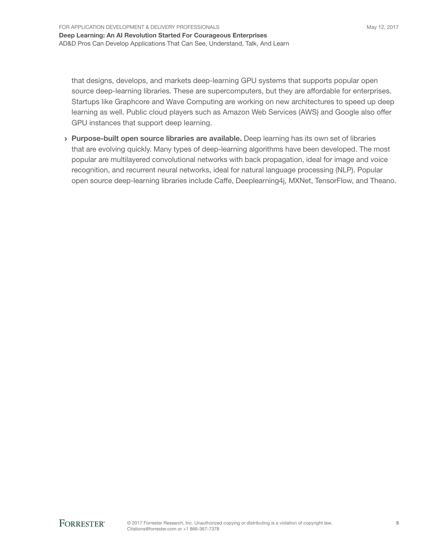that designs, develops, and markets deep-learning GPU systems that supports popular open source deep-learning libraries. These are supercomputers, but they are affordable for enterprises. Startups like Graphcore and Wave Computing are working on new architectures to speed up deep learning as well. Public cloud players such as Amazon Web Services (AWS) and Google also offer GPU instances that support deep learning.

› Purpose-built open source libraries are available. Deep learning has its own set of libraries that are evolving quickly. Many types of deep-learning algorithms have been developed. The most popular are multilayered convolutional networks with back propagation, ideal for image and voice recognition, and recurrent neural networks, ideal for natural language processing (NLP). Popular open source deep-learning libraries include Caffe, Deeplearning4j, MXNet, TensorFlow, and Theano.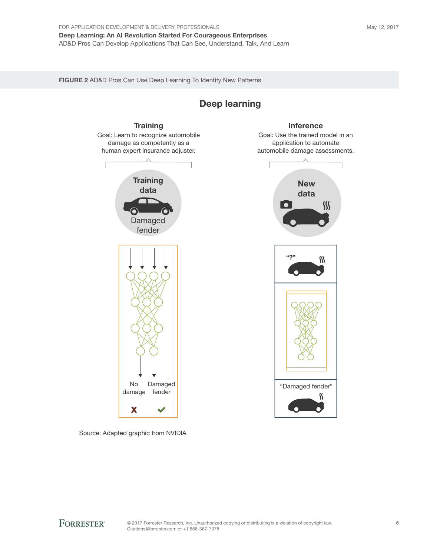FIGURE 2 AD&D Pros Can Use Deep Learning To Identify New Patterns

**Training** Goal: Learn to recognize automobile damage as competently as a human expert insurance adjuster. **Training** data  $\overline{\phantom{a}}$ Damaged fender No Damaged "Damaged fender"<br>
fender Managed fender "N" damage fender X  $\overline{\phantom{a}}$ 

## Inference

Deep learning

Goal: Use the trained model in an application to automate automobile damage assessments.



# Source: Adapted graphic from NVIDIA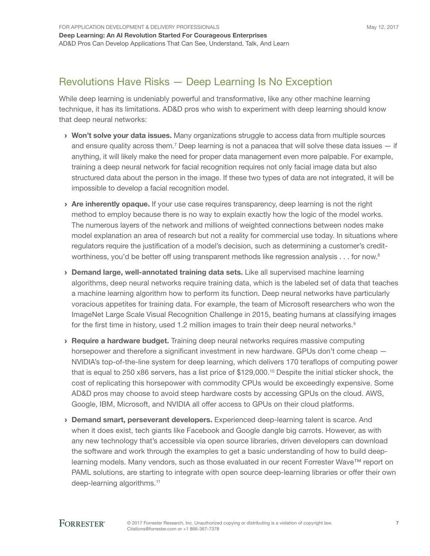## Revolutions Have Risks — Deep Learning Is No Exception

While deep learning is undeniably powerful and transformative, like any other machine learning technique, it has its limitations. AD&D pros who wish to experiment with deep learning should know that deep neural networks:

- **Won't solve your data issues.** Many organizations struggle to access data from multiple sources and ensure quality across them.<sup>7</sup> Deep learning is not a panacea that will solve these data issues  $-$  if anything, it will likely make the need for proper data management even more palpable. For example, training a deep neural network for facial recognition requires not only facial image data but also structured data about the person in the image. If these two types of data are not integrated, it will be impossible to develop a facial recognition model.
- > Are inherently opaque. If your use case requires transparency, deep learning is not the right method to employ because there is no way to explain exactly how the logic of the model works. The numerous layers of the network and millions of weighted connections between nodes make model explanation an area of research but not a reality for commercial use today. In situations where regulators require the justification of a model's decision, such as determining a customer's creditworthiness, you'd be better off using transparent methods like regression analysis  $\ldots$  for now.<sup>8</sup>
- › Demand large, well-annotated training data sets. Like all supervised machine learning algorithms, deep neural networks require training data, which is the labeled set of data that teaches a machine learning algorithm how to perform its function. Deep neural networks have particularly voracious appetites for training data. For example, the team of Microsoft researchers who won the ImageNet Large Scale Visual Recognition Challenge in 2015, beating humans at classifying images for the first time in history, used 1.2 million images to train their deep neural networks.<sup>9</sup>
- › Require a hardware budget. Training deep neural networks requires massive computing horsepower and therefore a significant investment in new hardware. GPUs don't come cheap -NVIDIA's top-of-the-line system for deep learning, which delivers 170 teraflops of computing power that is equal to 250 x86 servers, has a list price of \$129,000.<sup>10</sup> Despite the initial sticker shock, the cost of replicating this horsepower with commodity CPUs would be exceedingly expensive. Some AD&D pros may choose to avoid steep hardware costs by accessing GPUs on the cloud. AWS, Google, IBM, Microsoft, and NVIDIA all offer access to GPUs on their cloud platforms.
- › Demand smart, perseverant developers. Experienced deep-learning talent is scarce. And when it does exist, tech giants like Facebook and Google dangle big carrots. However, as with any new technology that's accessible via open source libraries, driven developers can download the software and work through the examples to get a basic understanding of how to build deeplearning models. Many vendors, such as those evaluated in our recent Forrester Wave™ report on PAML solutions, are starting to integrate with open source deep-learning libraries or offer their own deep-learning algorithms.<sup>11</sup>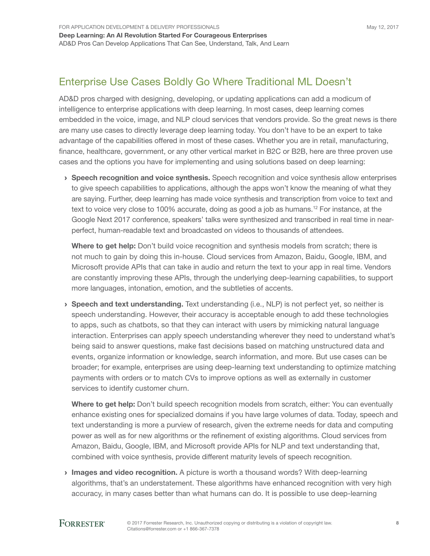## Enterprise Use Cases Boldly Go Where Traditional ML Doesn't

AD&D pros charged with designing, developing, or updating applications can add a modicum of intelligence to enterprise applications with deep learning. In most cases, deep learning comes embedded in the voice, image, and NLP cloud services that vendors provide. So the great news is there are many use cases to directly leverage deep learning today. You don't have to be an expert to take advantage of the capabilities offered in most of these cases. Whether you are in retail, manufacturing, finance, healthcare, government, or any other vertical market in B2C or B2B, here are three proven use cases and the options you have for implementing and using solutions based on deep learning:

**> Speech recognition and voice synthesis.** Speech recognition and voice synthesis allow enterprises to give speech capabilities to applications, although the apps won't know the meaning of what they are saying. Further, deep learning has made voice synthesis and transcription from voice to text and text to voice very close to 100% accurate, doing as good a job as humans.<sup>12</sup> For instance, at the Google Next 2017 conference, speakers' talks were synthesized and transcribed in real time in nearperfect, human-readable text and broadcasted on videos to thousands of attendees.

Where to get help: Don't build voice recognition and synthesis models from scratch; there is not much to gain by doing this in-house. Cloud services from Amazon, Baidu, Google, IBM, and Microsoft provide APIs that can take in audio and return the text to your app in real time. Vendors are constantly improving these APIs, through the underlying deep-learning capabilities, to support more languages, intonation, emotion, and the subtleties of accents.

› Speech and text understanding. Text understanding (i.e., NLP) is not perfect yet, so neither is speech understanding. However, their accuracy is acceptable enough to add these technologies to apps, such as chatbots, so that they can interact with users by mimicking natural language interaction. Enterprises can apply speech understanding wherever they need to understand what's being said to answer questions, make fast decisions based on matching unstructured data and events, organize information or knowledge, search information, and more. But use cases can be broader; for example, enterprises are using deep-learning text understanding to optimize matching payments with orders or to match CVs to improve options as well as externally in customer services to identify customer churn.

Where to get help: Don't build speech recognition models from scratch, either: You can eventually enhance existing ones for specialized domains if you have large volumes of data. Today, speech and text understanding is more a purview of research, given the extreme needs for data and computing power as well as for new algorithms or the refinement of existing algorithms. Cloud services from Amazon, Baidu, Google, IBM, and Microsoft provide APIs for NLP and text understanding that, combined with voice synthesis, provide different maturity levels of speech recognition.

› Images and video recognition. A picture is worth a thousand words? With deep-learning algorithms, that's an understatement. These algorithms have enhanced recognition with very high accuracy, in many cases better than what humans can do. It is possible to use deep-learning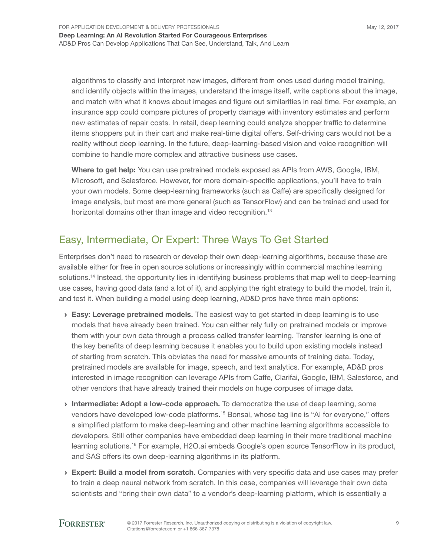algorithms to classify and interpret new images, different from ones used during model training, and identify objects within the images, understand the image itself, write captions about the image, and match with what it knows about images and figure out similarities in real time. For example, an insurance app could compare pictures of property damage with inventory estimates and perform new estimates of repair costs. In retail, deep learning could analyze shopper traffic to determine items shoppers put in their cart and make real-time digital offers. Self-driving cars would not be a reality without deep learning. In the future, deep-learning-based vision and voice recognition will combine to handle more complex and attractive business use cases.

Where to get help: You can use pretrained models exposed as APIs from AWS, Google, IBM, Microsoft, and Salesforce. However, for more domain-specific applications, you'll have to train your own models. Some deep-learning frameworks (such as Caffe) are specifically designed for image analysis, but most are more general (such as TensorFlow) and can be trained and used for horizontal domains other than image and video recognition.<sup>13</sup>

## Easy, Intermediate, Or Expert: Three Ways To Get Started

Enterprises don't need to research or develop their own deep-learning algorithms, because these are available either for free in open source solutions or increasingly within commercial machine learning solutions.<sup>14</sup> Instead, the opportunity lies in identifying business problems that map well to deep-learning use cases, having good data (and a lot of it), and applying the right strategy to build the model, train it, and test it. When building a model using deep learning, AD&D pros have three main options:

- **Easy: Leverage pretrained models.** The easiest way to get started in deep learning is to use models that have already been trained. You can either rely fully on pretrained models or improve them with your own data through a process called transfer learning. Transfer learning is one of the key benefits of deep learning because it enables you to build upon existing models instead of starting from scratch. This obviates the need for massive amounts of training data. Today, pretrained models are available for image, speech, and text analytics. For example, AD&D pros interested in image recognition can leverage APIs from Caffe, Clarifai, Google, IBM, Salesforce, and other vendors that have already trained their models on huge corpuses of image data.
- Intermediate: Adopt a low-code approach. To democratize the use of deep learning, some vendors have developed low-code platforms.15 Bonsai, whose tag line is "AI for everyone," offers a simplified platform to make deep-learning and other machine learning algorithms accessible to developers. Still other companies have embedded deep learning in their more traditional machine learning solutions.16 For example, H2O.ai embeds Google's open source TensorFlow in its product, and SAS offers its own deep-learning algorithms in its platform.
- **Expert: Build a model from scratch.** Companies with very specific data and use cases may prefer to train a deep neural network from scratch. In this case, companies will leverage their own data scientists and "bring their own data" to a vendor's deep-learning platform, which is essentially a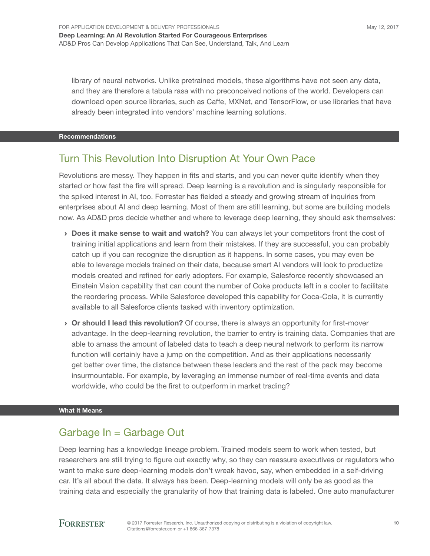library of neural networks. Unlike pretrained models, these algorithms have not seen any data, and they are therefore a tabula rasa with no preconceived notions of the world. Developers can download open source libraries, such as Caffe, MXNet, and TensorFlow, or use libraries that have already been integrated into vendors' machine learning solutions.

#### Recommendations

## Turn This Revolution Into Disruption At Your Own Pace

Revolutions are messy. They happen in fits and starts, and you can never quite identify when they started or how fast the fire will spread. Deep learning is a revolution and is singularly responsible for the spiked interest in AI, too. Forrester has fielded a steady and growing stream of inquiries from enterprises about AI and deep learning. Most of them are still learning, but some are building models now. As AD&D pros decide whether and where to leverage deep learning, they should ask themselves:

- **Does it make sense to wait and watch?** You can always let your competitors front the cost of training initial applications and learn from their mistakes. If they are successful, you can probably catch up if you can recognize the disruption as it happens. In some cases, you may even be able to leverage models trained on their data, because smart AI vendors will look to productize models created and refined for early adopters. For example, Salesforce recently showcased an Einstein Vision capability that can count the number of Coke products left in a cooler to facilitate the reordering process. While Salesforce developed this capability for Coca-Cola, it is currently available to all Salesforce clients tasked with inventory optimization.
- › Or should I lead this revolution? Of course, there is always an opportunity for first-mover advantage. In the deep-learning revolution, the barrier to entry is training data. Companies that are able to amass the amount of labeled data to teach a deep neural network to perform its narrow function will certainly have a jump on the competition. And as their applications necessarily get better over time, the distance between these leaders and the rest of the pack may become insurmountable. For example, by leveraging an immense number of real-time events and data worldwide, who could be the first to outperform in market trading?

#### What It Means

## Garbage In = Garbage Out

Deep learning has a knowledge lineage problem. Trained models seem to work when tested, but researchers are still trying to figure out exactly why, so they can reassure executives or regulators who want to make sure deep-learning models don't wreak havoc, say, when embedded in a self-driving car. It's all about the data. It always has been. Deep-learning models will only be as good as the training data and especially the granularity of how that training data is labeled. One auto manufacturer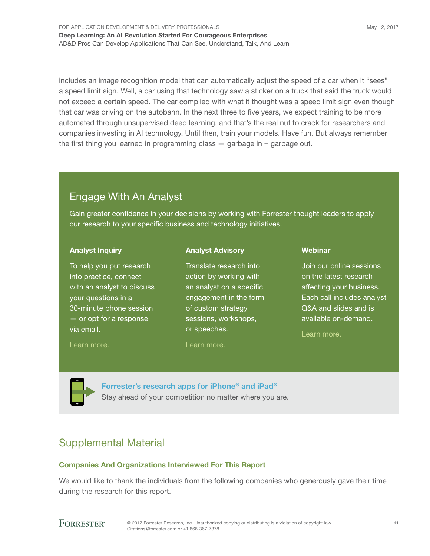For Application Development & Delivery Professionals Deep Learning: An AI Revolution Started For Courageous Enterprises AD&D Pros Can Develop Applications That Can See, Understand, Talk, And Learn

includes an image recognition model that can automatically adjust the speed of a car when it "sees" a speed limit sign. Well, a car using that technology saw a sticker on a truck that said the truck would not exceed a certain speed. The car complied with what it thought was a speed limit sign even though that car was driving on the autobahn. In the next three to five years, we expect training to be more automated through unsupervised deep learning, and that's the real nut to crack for researchers and companies investing in AI technology. Until then, train your models. Have fun. But always remember the first thing you learned in programming class  $-$  garbage in  $=$  garbage out.

## Engage With An Analyst

Gain greater confidence in your decisions by working with Forrester thought leaders to apply our research to your specific business and technology initiatives.

### Analyst Inquiry

To help you put research into practice, connect with an analyst to discuss your questions in a 30-minute phone session — or opt for a response via email.

#### [Learn more.](http://forr.com/1einFan)

Analyst Advisory

Translate research into action by working with an analyst on a specific engagement in the form of custom strategy sessions, workshops, or speeches.

### [Learn more.](http://www.forrester.com/Analyst-Advisory/-/E-MPL172)

#### **Webinar**

Join our online sessions on the latest research affecting your business. Each call includes analyst Q&A and slides and is available on-demand.

[Learn more](https://www.forrester.com/events?N=10006+5025).

[Forrester's research apps for iPhone® and iPad®](https://go.forrester.com/apps/) Stay ahead of your competition no matter where you are.

## Supplemental Material

### Companies And Organizations Interviewed For This Report

We would like to thank the individuals from the following companies who generously gave their time during the research for this report.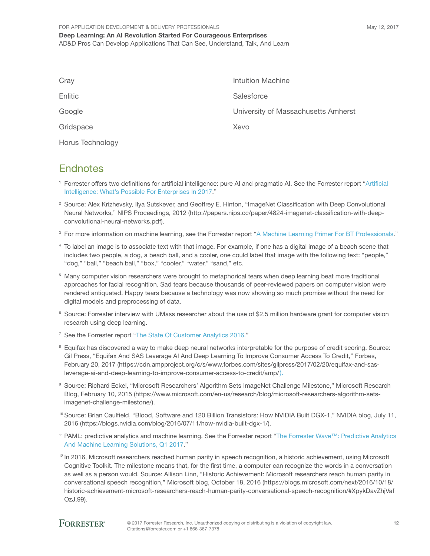| Cray             | Intuition Machine                   |
|------------------|-------------------------------------|
| Enlitic          | Salesforce                          |
| Google           | University of Massachusetts Amherst |
| Gridspace        | Xevo                                |
| Horus Technology |                                     |

## **Endnotes**

- <sup>1</sup> Forrester offers two definitions for artificial intelligence: pure AI and pragmatic AI. See the Forrester report "[Artificial](http://www.forrester.com/go?objectid=RES136288)  [Intelligence: What's Possible For Enterprises In 2017](http://www.forrester.com/go?objectid=RES136288)."
- 2 Source: Alex Krizhevsky, Ilya Sutskever, and Geoffrey E. Hinton, "ImageNet Classification with Deep Convolutional Neural Networks," NIPS Proceedings, 2012 (http://papers.nips.cc/paper/4824-imagenet-classification-with-deepconvolutional-neural-networks.pdf).
- <sup>3</sup> For more information on machine learning, see the Forrester report ["A Machine Learning Primer For BT Professionals](http://www.forrester.com/go?objectid=RES117711)."
- 4 To label an image is to associate text with that image. For example, if one has a digital image of a beach scene that includes two people, a dog, a beach ball, and a cooler, one could label that image with the following text: "people," "dog," "ball," "beach ball," "box," "cooler," "water," "sand," etc.
- <sup>5</sup> Many computer vision researchers were brought to metaphorical tears when deep learning beat more traditional approaches for facial recognition. Sad tears because thousands of peer-reviewed papers on computer vision were rendered antiquated. Happy tears because a technology was now showing so much promise without the need for digital models and preprocessing of data.
- 6 Source: Forrester interview with UMass researcher about the use of \$2.5 million hardware grant for computer vision research using deep learning.
- <sup>7</sup> See the Forrester report "[The State Of Customer Analytics 2016.](http://www.forrester.com/go?objectid=RES129380)"
- <sup>8</sup> Equifax has discovered a way to make deep neural networks interpretable for the purpose of credit scoring. Source: Gil Press, "Equifax And SAS Leverage AI And Deep Learning To Improve Consumer Access To Credit," Forbes, February 20, 2017 (https://cdn.ampproject.org/c/s/www.forbes.com/sites/gilpress/2017/02/20/equifax-and-sasleverage-ai-and-deep-learning-to-improve-consumer-access-to-credit/amp/).
- 9 Source: Richard Eckel, "Microsoft Researchers' Algorithm Sets ImageNet Challenge Milestone," Microsoft Research Blog, February 10, 2015 (https://www.microsoft.com/en-us/research/blog/microsoft-researchers-algorithm-setsimagenet-challenge-milestone/).
- <sup>10</sup> Source: Brian Caulfield, "Blood, Software and 120 Billion Transistors: How NVIDIA Built DGX-1," NVIDIA blog, July 11, 2016 (https://blogs.nvidia.com/blog/2016/07/11/how-nvidia-built-dgx-1/).
- <sup>11</sup> PAML: predictive analytics and machine learning. See the Forrester report "[The Forrester Wave™: Predictive Analytics](http://www.forrester.com/go?objectid=RES129452)  [And Machine Learning Solutions, Q1 2017](http://www.forrester.com/go?objectid=RES129452)."
- <sup>12</sup> In 2016, Microsoft researchers reached human parity in speech recognition, a historic achievement, using Microsoft Cognitive Toolkit. The milestone means that, for the first time, a computer can recognize the words in a conversation as well as a person would. Source: Allison Linn, "Historic Achievement: Microsoft researchers reach human parity in conversational speech recognition," Microsoft blog, October 18, 2016 (https://blogs.microsoft.com/next/2016/10/18/ historic-achievement-microsoft-researchers-reach-human-parity-conversational-speech-recognition/#XpykDavZhjVaf OzJ.99).

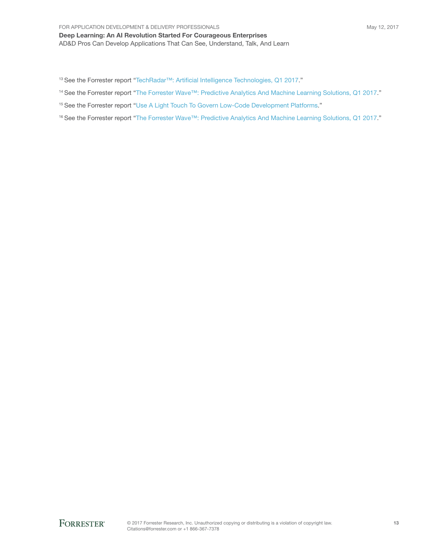#### FOR APPLICATION DEVELOPMENT & DELIVERY PROFESSIONALS

Deep Learning: An AI Revolution Started For Courageous Enterprises AD&D Pros Can Develop Applications That Can See, Understand, Talk, And Learn

13 See the Forrester report "[TechRadar™: Artificial Intelligence Technologies, Q1 2017](http://www.forrester.com/go?objectid=RES129161)."

<sup>14</sup> See the Forrester report "[The Forrester Wave™: Predictive Analytics And Machine Learning Solutions, Q1 2017.](http://www.forrester.com/go?objectid=RES129452)"

<sup>15</sup> See the Forrester report "[Use A Light Touch To Govern Low-Code Development Platforms.](http://www.forrester.com/go?objectid=RES122554)"

<sup>16</sup> See the Forrester report "[The Forrester Wave™: Predictive Analytics And Machine Learning Solutions, Q1 2017.](http://www.forrester.com/go?objectid=RES129452)"